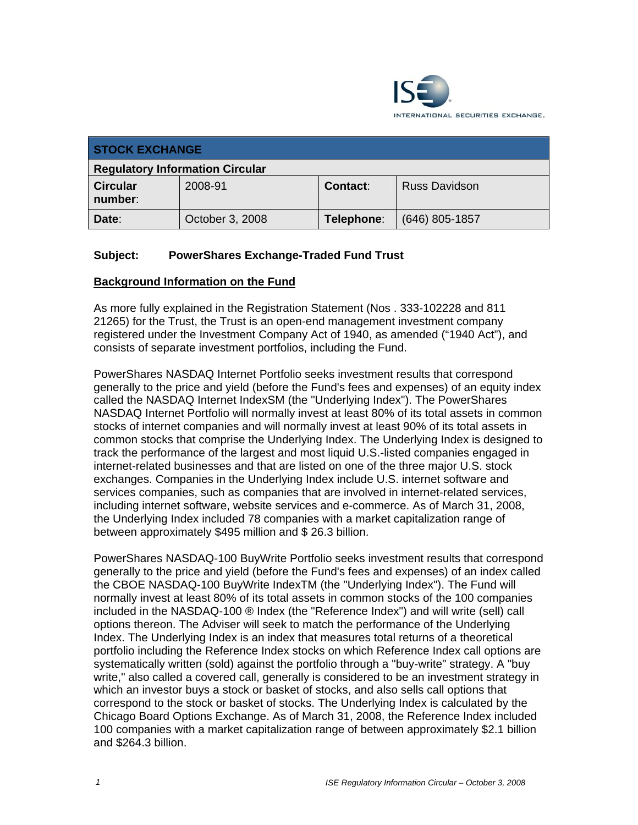

| <b>STOCK EXCHANGE</b>                  |                 |            |                      |
|----------------------------------------|-----------------|------------|----------------------|
| <b>Regulatory Information Circular</b> |                 |            |                      |
| <b>Circular</b><br>number:             | 2008-91         | Contact:   | <b>Russ Davidson</b> |
| Date:                                  | October 3, 2008 | Telephone: | $(646)$ 805-1857     |

### **Subject: PowerShares Exchange-Traded Fund Trust**

#### **Background Information on the Fund**

As more fully explained in the Registration Statement (Nos . 333-102228 and 811 21265) for the Trust, the Trust is an open-end management investment company registered under the Investment Company Act of 1940, as amended ("1940 Act"), and consists of separate investment portfolios, including the Fund.

PowerShares NASDAQ Internet Portfolio seeks investment results that correspond generally to the price and yield (before the Fund's fees and expenses) of an equity index called the NASDAQ Internet IndexSM (the "Underlying Index"). The PowerShares NASDAQ Internet Portfolio will normally invest at least 80% of its total assets in common stocks of internet companies and will normally invest at least 90% of its total assets in common stocks that comprise the Underlying Index. The Underlying Index is designed to track the performance of the largest and most liquid U.S.-listed companies engaged in internet-related businesses and that are listed on one of the three major U.S. stock exchanges. Companies in the Underlying Index include U.S. internet software and services companies, such as companies that are involved in internet-related services, including internet software, website services and e-commerce. As of March 31, 2008, the Underlying Index included 78 companies with a market capitalization range of between approximately \$495 million and \$ 26.3 billion.

PowerShares NASDAQ-100 BuyWrite Portfolio seeks investment results that correspond generally to the price and yield (before the Fund's fees and expenses) of an index called the CBOE NASDAQ-100 BuyWrite IndexTM (the "Underlying Index"). The Fund will normally invest at least 80% of its total assets in common stocks of the 100 companies included in the NASDAQ-100 ® Index (the "Reference Index") and will write (sell) call options thereon. The Adviser will seek to match the performance of the Underlying Index. The Underlying Index is an index that measures total returns of a theoretical portfolio including the Reference Index stocks on which Reference Index call options are systematically written (sold) against the portfolio through a "buy-write" strategy. A "buy write," also called a covered call, generally is considered to be an investment strategy in which an investor buys a stock or basket of stocks, and also sells call options that correspond to the stock or basket of stocks. The Underlying Index is calculated by the Chicago Board Options Exchange. As of March 31, 2008, the Reference Index included 100 companies with a market capitalization range of between approximately \$2.1 billion and \$264.3 billion.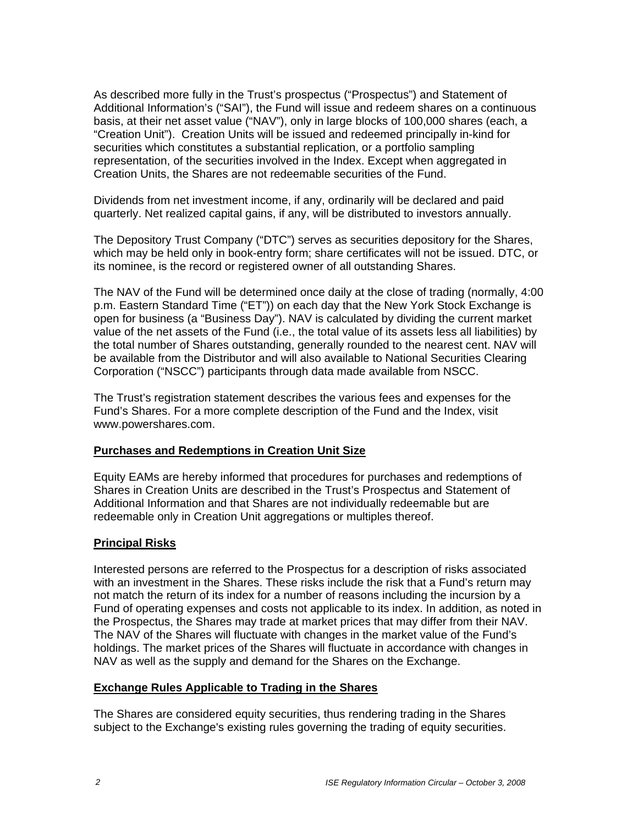As described more fully in the Trust's prospectus ("Prospectus") and Statement of Additional Information's ("SAI"), the Fund will issue and redeem shares on a continuous basis, at their net asset value ("NAV"), only in large blocks of 100,000 shares (each, a "Creation Unit"). Creation Units will be issued and redeemed principally in-kind for securities which constitutes a substantial replication, or a portfolio sampling representation, of the securities involved in the Index. Except when aggregated in Creation Units, the Shares are not redeemable securities of the Fund.

Dividends from net investment income, if any, ordinarily will be declared and paid quarterly. Net realized capital gains, if any, will be distributed to investors annually.

The Depository Trust Company ("DTC") serves as securities depository for the Shares, which may be held only in book-entry form; share certificates will not be issued. DTC, or its nominee, is the record or registered owner of all outstanding Shares.

The NAV of the Fund will be determined once daily at the close of trading (normally, 4:00 p.m. Eastern Standard Time ("ET")) on each day that the New York Stock Exchange is open for business (a "Business Day"). NAV is calculated by dividing the current market value of the net assets of the Fund (i.e., the total value of its assets less all liabilities) by the total number of Shares outstanding, generally rounded to the nearest cent. NAV will be available from the Distributor and will also available to National Securities Clearing Corporation ("NSCC") participants through data made available from NSCC.

The Trust's registration statement describes the various fees and expenses for the Fund's Shares. For a more complete description of the Fund and the Index, visit www.powershares.com.

### **Purchases and Redemptions in Creation Unit Size**

Equity EAMs are hereby informed that procedures for purchases and redemptions of Shares in Creation Units are described in the Trust's Prospectus and Statement of Additional Information and that Shares are not individually redeemable but are redeemable only in Creation Unit aggregations or multiples thereof.

#### **Principal Risks**

Interested persons are referred to the Prospectus for a description of risks associated with an investment in the Shares. These risks include the risk that a Fund's return may not match the return of its index for a number of reasons including the incursion by a Fund of operating expenses and costs not applicable to its index. In addition, as noted in the Prospectus, the Shares may trade at market prices that may differ from their NAV. The NAV of the Shares will fluctuate with changes in the market value of the Fund's holdings. The market prices of the Shares will fluctuate in accordance with changes in NAV as well as the supply and demand for the Shares on the Exchange.

#### **Exchange Rules Applicable to Trading in the Shares**

The Shares are considered equity securities, thus rendering trading in the Shares subject to the Exchange's existing rules governing the trading of equity securities.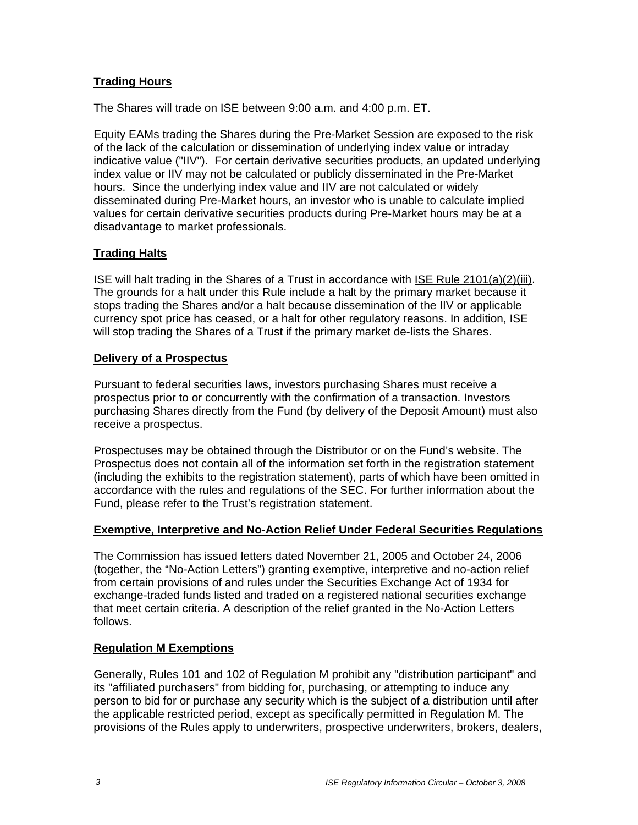# **Trading Hours**

The Shares will trade on ISE between 9:00 a.m. and 4:00 p.m. ET.

Equity EAMs trading the Shares during the Pre-Market Session are exposed to the risk of the lack of the calculation or dissemination of underlying index value or intraday indicative value ("IIV"). For certain derivative securities products, an updated underlying index value or IIV may not be calculated or publicly disseminated in the Pre-Market hours. Since the underlying index value and IIV are not calculated or widely disseminated during Pre-Market hours, an investor who is unable to calculate implied values for certain derivative securities products during Pre-Market hours may be at a disadvantage to market professionals.

# **Trading Halts**

ISE will halt trading in the Shares of a Trust in accordance with ISE Rule 2101(a)(2)(iii). The grounds for a halt under this Rule include a halt by the primary market because it stops trading the Shares and/or a halt because dissemination of the IIV or applicable currency spot price has ceased, or a halt for other regulatory reasons. In addition, ISE will stop trading the Shares of a Trust if the primary market de-lists the Shares.

# **Delivery of a Prospectus**

Pursuant to federal securities laws, investors purchasing Shares must receive a prospectus prior to or concurrently with the confirmation of a transaction. Investors purchasing Shares directly from the Fund (by delivery of the Deposit Amount) must also receive a prospectus.

Prospectuses may be obtained through the Distributor or on the Fund's website. The Prospectus does not contain all of the information set forth in the registration statement (including the exhibits to the registration statement), parts of which have been omitted in accordance with the rules and regulations of the SEC. For further information about the Fund, please refer to the Trust's registration statement.

# **Exemptive, Interpretive and No-Action Relief Under Federal Securities Regulations**

The Commission has issued letters dated November 21, 2005 and October 24, 2006 (together, the "No-Action Letters") granting exemptive, interpretive and no-action relief from certain provisions of and rules under the Securities Exchange Act of 1934 for exchange-traded funds listed and traded on a registered national securities exchange that meet certain criteria. A description of the relief granted in the No-Action Letters follows.

# **Regulation M Exemptions**

Generally, Rules 101 and 102 of Regulation M prohibit any "distribution participant" and its "affiliated purchasers" from bidding for, purchasing, or attempting to induce any person to bid for or purchase any security which is the subject of a distribution until after the applicable restricted period, except as specifically permitted in Regulation M. The provisions of the Rules apply to underwriters, prospective underwriters, brokers, dealers,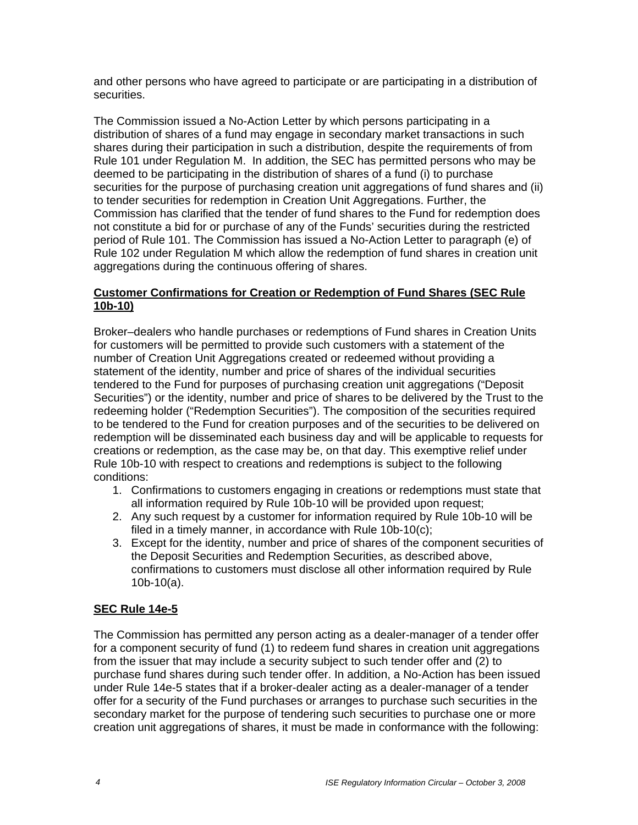and other persons who have agreed to participate or are participating in a distribution of securities.

The Commission issued a No-Action Letter by which persons participating in a distribution of shares of a fund may engage in secondary market transactions in such shares during their participation in such a distribution, despite the requirements of from Rule 101 under Regulation M. In addition, the SEC has permitted persons who may be deemed to be participating in the distribution of shares of a fund (i) to purchase securities for the purpose of purchasing creation unit aggregations of fund shares and (ii) to tender securities for redemption in Creation Unit Aggregations. Further, the Commission has clarified that the tender of fund shares to the Fund for redemption does not constitute a bid for or purchase of any of the Funds' securities during the restricted period of Rule 101. The Commission has issued a No-Action Letter to paragraph (e) of Rule 102 under Regulation M which allow the redemption of fund shares in creation unit aggregations during the continuous offering of shares.

### **Customer Confirmations for Creation or Redemption of Fund Shares (SEC Rule 10b-10)**

Broker–dealers who handle purchases or redemptions of Fund shares in Creation Units for customers will be permitted to provide such customers with a statement of the number of Creation Unit Aggregations created or redeemed without providing a statement of the identity, number and price of shares of the individual securities tendered to the Fund for purposes of purchasing creation unit aggregations ("Deposit Securities") or the identity, number and price of shares to be delivered by the Trust to the redeeming holder ("Redemption Securities"). The composition of the securities required to be tendered to the Fund for creation purposes and of the securities to be delivered on redemption will be disseminated each business day and will be applicable to requests for creations or redemption, as the case may be, on that day. This exemptive relief under Rule 10b-10 with respect to creations and redemptions is subject to the following conditions:

- 1. Confirmations to customers engaging in creations or redemptions must state that all information required by Rule 10b-10 will be provided upon request;
- 2. Any such request by a customer for information required by Rule 10b-10 will be filed in a timely manner, in accordance with Rule 10b-10(c);
- 3. Except for the identity, number and price of shares of the component securities of the Deposit Securities and Redemption Securities, as described above, confirmations to customers must disclose all other information required by Rule 10b-10(a).

# **SEC Rule 14e-5**

The Commission has permitted any person acting as a dealer-manager of a tender offer for a component security of fund (1) to redeem fund shares in creation unit aggregations from the issuer that may include a security subject to such tender offer and (2) to purchase fund shares during such tender offer. In addition, a No-Action has been issued under Rule 14e-5 states that if a broker-dealer acting as a dealer-manager of a tender offer for a security of the Fund purchases or arranges to purchase such securities in the secondary market for the purpose of tendering such securities to purchase one or more creation unit aggregations of shares, it must be made in conformance with the following: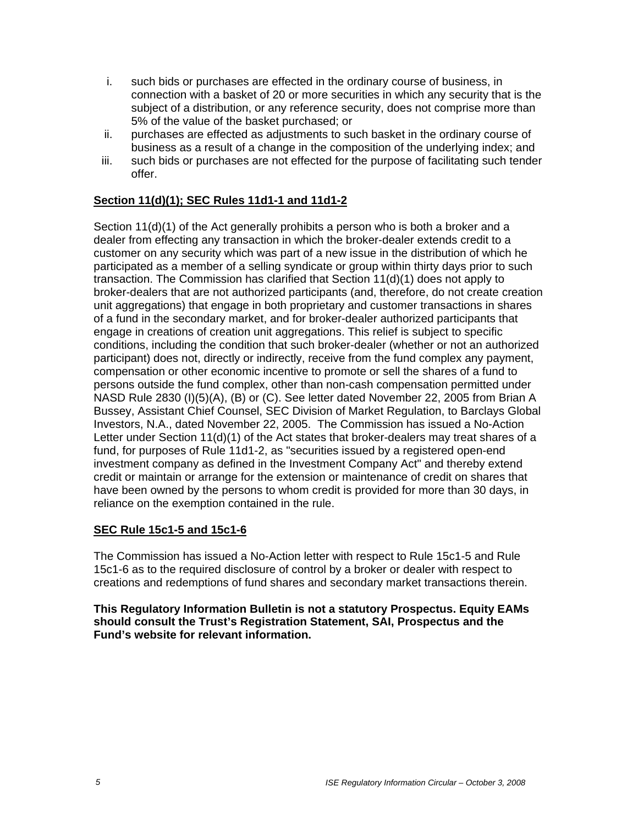- i. such bids or purchases are effected in the ordinary course of business, in connection with a basket of 20 or more securities in which any security that is the subject of a distribution, or any reference security, does not comprise more than 5% of the value of the basket purchased; or
- ii. purchases are effected as adjustments to such basket in the ordinary course of business as a result of a change in the composition of the underlying index; and
- iii. such bids or purchases are not effected for the purpose of facilitating such tender offer.

# **Section 11(d)(1); SEC Rules 11d1-1 and 11d1-2**

Section 11(d)(1) of the Act generally prohibits a person who is both a broker and a dealer from effecting any transaction in which the broker-dealer extends credit to a customer on any security which was part of a new issue in the distribution of which he participated as a member of a selling syndicate or group within thirty days prior to such transaction. The Commission has clarified that Section 11(d)(1) does not apply to broker-dealers that are not authorized participants (and, therefore, do not create creation unit aggregations) that engage in both proprietary and customer transactions in shares of a fund in the secondary market, and for broker-dealer authorized participants that engage in creations of creation unit aggregations. This relief is subject to specific conditions, including the condition that such broker-dealer (whether or not an authorized participant) does not, directly or indirectly, receive from the fund complex any payment, compensation or other economic incentive to promote or sell the shares of a fund to persons outside the fund complex, other than non-cash compensation permitted under NASD Rule 2830 (I)(5)(A), (B) or (C). See letter dated November 22, 2005 from Brian A Bussey, Assistant Chief Counsel, SEC Division of Market Regulation, to Barclays Global Investors, N.A., dated November 22, 2005. The Commission has issued a No-Action Letter under Section 11(d)(1) of the Act states that broker-dealers may treat shares of a fund, for purposes of Rule 11d1-2, as "securities issued by a registered open-end investment company as defined in the Investment Company Act" and thereby extend credit or maintain or arrange for the extension or maintenance of credit on shares that have been owned by the persons to whom credit is provided for more than 30 days, in reliance on the exemption contained in the rule.

### **SEC Rule 15c1-5 and 15c1-6**

The Commission has issued a No-Action letter with respect to Rule 15c1-5 and Rule 15c1-6 as to the required disclosure of control by a broker or dealer with respect to creations and redemptions of fund shares and secondary market transactions therein.

**This Regulatory Information Bulletin is not a statutory Prospectus. Equity EAMs should consult the Trust's Registration Statement, SAI, Prospectus and the Fund's website for relevant information.**